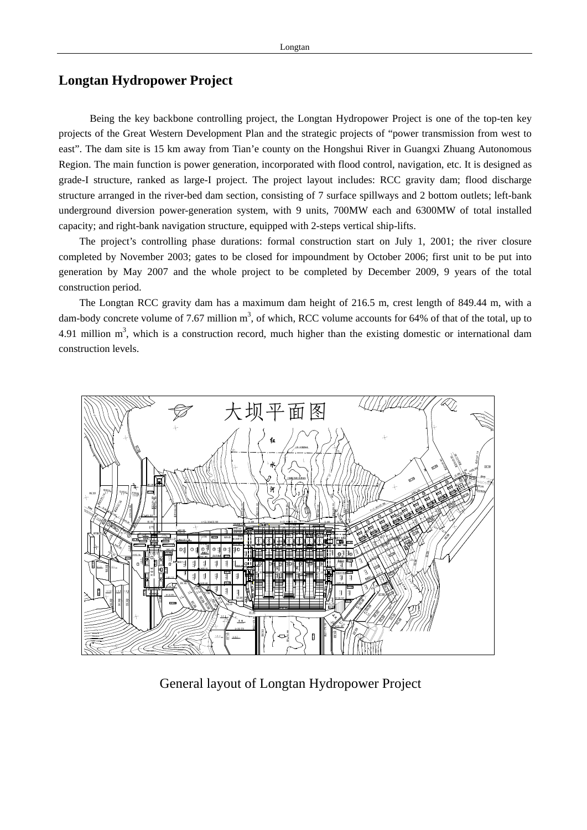## **Longtan Hydropower Project**

Being the key backbone controlling project, the Longtan Hydropower Project is one of the top-ten key projects of the Great Western Development Plan and the strategic projects of "power transmission from west to east". The dam site is 15 km away from Tian'e county on the Hongshui River in Guangxi Zhuang Autonomous Region. The main function is power generation, incorporated with flood control, navigation, etc. It is designed as grade-I structure, ranked as large-I project. The project layout includes: RCC gravity dam; flood discharge structure arranged in the river-bed dam section, consisting of 7 surface spillways and 2 bottom outlets; left-bank underground diversion power-generation system, with 9 units, 700MW each and 6300MW of total installed capacity; and right-bank navigation structure, equipped with 2-steps vertical ship-lifts.

The project's controlling phase durations: formal construction start on July 1, 2001; the river closure completed by November 2003; gates to be closed for impoundment by October 2006; first unit to be put into generation by May 2007 and the whole project to be completed by December 2009, 9 years of the total construction period.

The Longtan RCC gravity dam has a maximum dam height of 216.5 m, crest length of 849.44 m, with a dam-body concrete volume of 7.67 million  $m<sup>3</sup>$ , of which, RCC volume accounts for 64% of that of the total, up to 4.91 million  $m<sup>3</sup>$ , which is a construction record, much higher than the existing domestic or international dam construction levels.



General layout of Longtan Hydropower Project